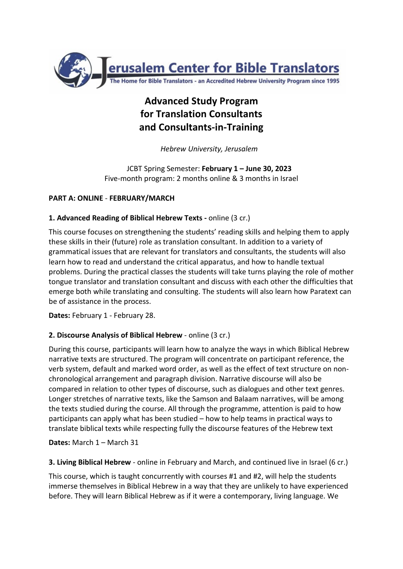

# **Advanced Study Program for Translation Consultants and Consultants-in-Training**

*Hebrew University, Jerusalem*

JCBT Spring Semester: **February 1 – June 30, 2023** Five-month program: 2 months online & 3 months in Israel

# **PART A: ONLINE** - **FEBRUARY/MARCH**

## **1. Advanced Reading of Biblical Hebrew Texts -** online (3 cr.)

This course focuses on strengthening the students' reading skills and helping them to apply these skills in their (future) role as translation consultant. In addition to a variety of grammatical issues that are relevant for translators and consultants, the students will also learn how to read and understand the critical apparatus, and how to handle textual problems. During the practical classes the students will take turns playing the role of mother tongue translator and translation consultant and discuss with each other the difficulties that emerge both while translating and consulting. The students will also learn how Paratext can be of assistance in the process.

**Dates:** February 1 - February 28.

# **2. Discourse Analysis of Biblical Hebrew** - online (3 cr.)

During this course, participants will learn how to analyze the ways in which Biblical Hebrew narrative texts are structured. The program will concentrate on participant reference, the verb system, default and marked word order, as well as the effect of text structure on nonchronological arrangement and paragraph division. Narrative discourse will also be compared in relation to other types of discourse, such as dialogues and other text genres. Longer stretches of narrative texts, like the Samson and Balaam narratives, will be among the texts studied during the course. All through the programme, attention is paid to how participants can apply what has been studied – how to help teams in practical ways to translate biblical texts while respecting fully the discourse features of the Hebrew text

**Dates:** March 1 – March 31

**3. Living Biblical Hebrew** - online in February and March, and continued live in Israel (6 cr.)

This course, which is taught concurrently with courses #1 and #2, will help the students immerse themselves in Biblical Hebrew in a way that they are unlikely to have experienced before. They will learn Biblical Hebrew as if it were a contemporary, living language. We